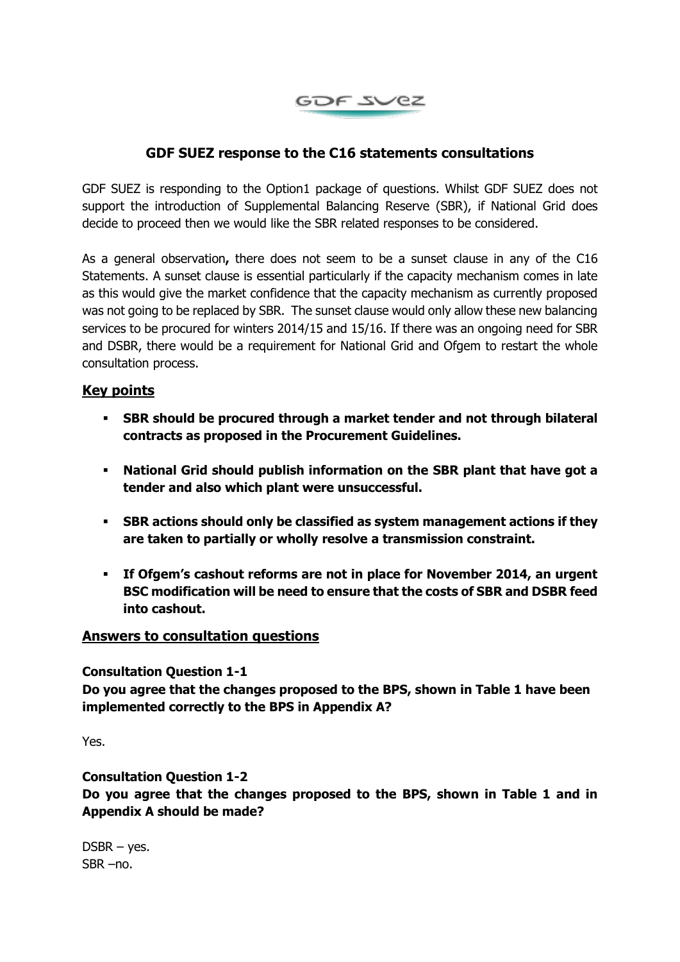

# **GDF SUEZ response to the C16 statements consultations**

GDF SUEZ is responding to the Option1 package of questions. Whilst GDF SUEZ does not support the introduction of Supplemental Balancing Reserve (SBR), if National Grid does decide to proceed then we would like the SBR related responses to be considered.

As a general observation**,** there does not seem to be a sunset clause in any of the C16 Statements. A sunset clause is essential particularly if the capacity mechanism comes in late as this would give the market confidence that the capacity mechanism as currently proposed was not going to be replaced by SBR. The sunset clause would only allow these new balancing services to be procured for winters 2014/15 and 15/16. If there was an ongoing need for SBR and DSBR, there would be a requirement for National Grid and Ofgem to restart the whole consultation process.

# **Key points**

- **SBR should be procured through a market tender and not through bilateral contracts as proposed in the Procurement Guidelines.**
- **National Grid should publish information on the SBR plant that have got a tender and also which plant were unsuccessful.**
- **SBR actions should only be classified as system management actions if they are taken to partially or wholly resolve a transmission constraint.**
- **If Ofgem's cashout reforms are not in place for November 2014, an urgent BSC modification will be need to ensure that the costs of SBR and DSBR feed into cashout.**

## **Answers to consultation questions**

**Consultation Question 1-1**

**Do you agree that the changes proposed to the BPS, shown in Table 1 have been implemented correctly to the BPS in Appendix A?**

Yes.

**Consultation Question 1-2**

**Do you agree that the changes proposed to the BPS, shown in Table 1 and in Appendix A should be made?**

 $DSBR - yes.$ SBR –no.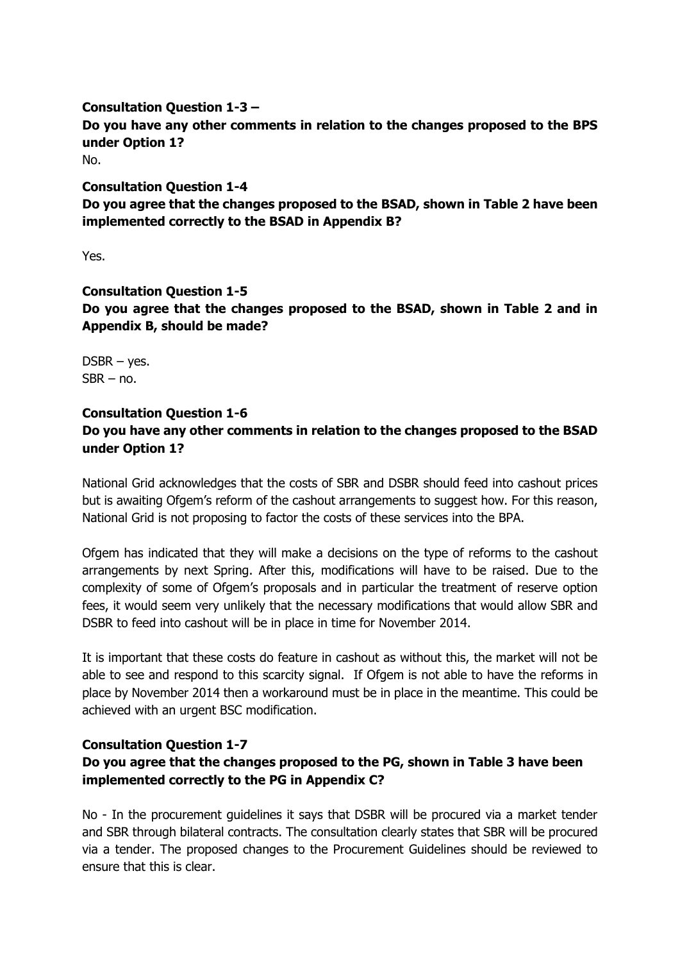**Consultation Question 1-3 – Do you have any other comments in relation to the changes proposed to the BPS under Option 1?** No.

**Consultation Question 1-4 Do you agree that the changes proposed to the BSAD, shown in Table 2 have been implemented correctly to the BSAD in Appendix B?**

Yes.

# **Consultation Question 1-5 Do you agree that the changes proposed to the BSAD, shown in Table 2 and in Appendix B, should be made?**

DSBR – yes.  $SBR - no$ .

## **Consultation Question 1-6**

# **Do you have any other comments in relation to the changes proposed to the BSAD under Option 1?**

National Grid acknowledges that the costs of SBR and DSBR should feed into cashout prices but is awaiting Ofgem's reform of the cashout arrangements to suggest how. For this reason, National Grid is not proposing to factor the costs of these services into the BPA.

Ofgem has indicated that they will make a decisions on the type of reforms to the cashout arrangements by next Spring. After this, modifications will have to be raised. Due to the complexity of some of Ofgem's proposals and in particular the treatment of reserve option fees, it would seem very unlikely that the necessary modifications that would allow SBR and DSBR to feed into cashout will be in place in time for November 2014.

It is important that these costs do feature in cashout as without this, the market will not be able to see and respond to this scarcity signal. If Ofgem is not able to have the reforms in place by November 2014 then a workaround must be in place in the meantime. This could be achieved with an urgent BSC modification.

# **Consultation Question 1-7 Do you agree that the changes proposed to the PG, shown in Table 3 have been implemented correctly to the PG in Appendix C?**

No - In the procurement guidelines it says that DSBR will be procured via a market tender and SBR through bilateral contracts. The consultation clearly states that SBR will be procured via a tender. The proposed changes to the Procurement Guidelines should be reviewed to ensure that this is clear.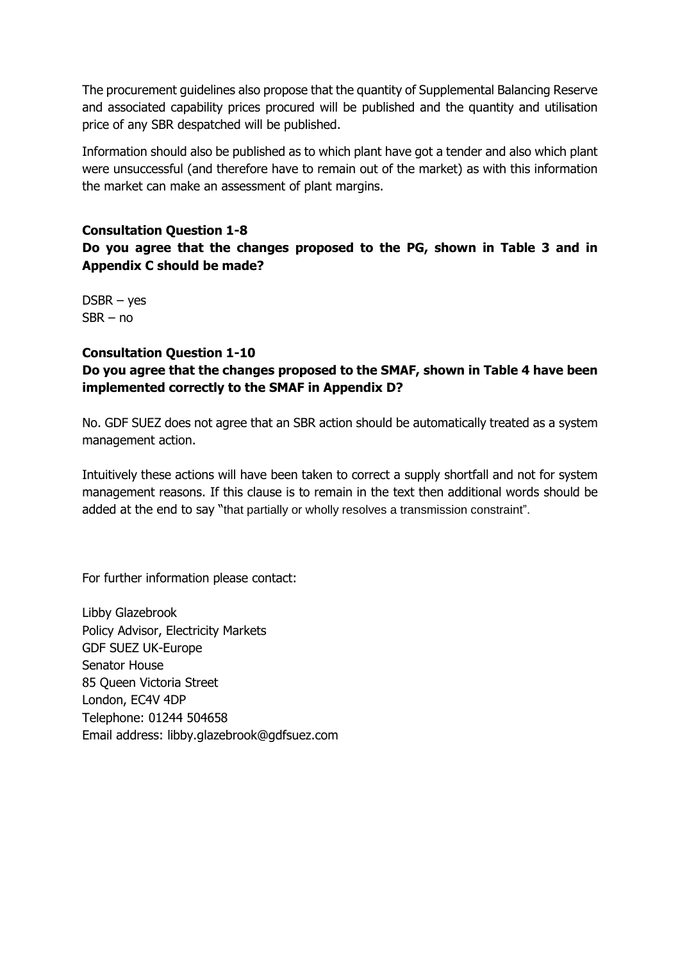The procurement guidelines also propose that the quantity of Supplemental Balancing Reserve and associated capability prices procured will be published and the quantity and utilisation price of any SBR despatched will be published.

Information should also be published as to which plant have got a tender and also which plant were unsuccessful (and therefore have to remain out of the market) as with this information the market can make an assessment of plant margins.

## **Consultation Question 1-8**

**Do you agree that the changes proposed to the PG, shown in Table 3 and in Appendix C should be made?**

DSBR – yes SBR – no

## **Consultation Question 1-10**

# **Do you agree that the changes proposed to the SMAF, shown in Table 4 have been implemented correctly to the SMAF in Appendix D?**

No. GDF SUEZ does not agree that an SBR action should be automatically treated as a system management action.

Intuitively these actions will have been taken to correct a supply shortfall and not for system management reasons. If this clause is to remain in the text then additional words should be added at the end to say "that partially or wholly resolves a transmission constraint".

For further information please contact:

Libby Glazebrook Policy Advisor, Electricity Markets GDF SUEZ UK-Europe Senator House 85 Queen Victoria Street London, EC4V 4DP Telephone: 01244 504658 Email address: [libby.glazebrook@gdfsuez.com](mailto:libby.glazebrook@gdfsuez.com)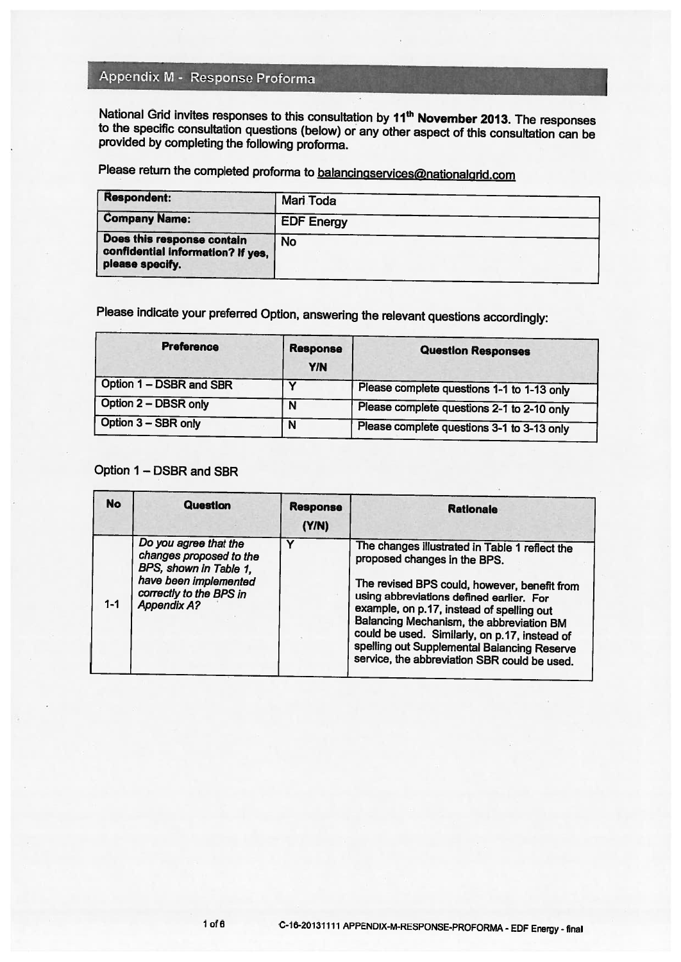# Appendix M - Response Proforma

National Grid invites responses to this consultation by 11<sup>th</sup> November 2013. The responses to the specific consultation questions (below) or any other aspect of this consultation can be provided by completing the following proforma.

Please return the completed proforma to balancingservices@nationalgrid.com

| Respondent:                                                                        | Mari Toda         |
|------------------------------------------------------------------------------------|-------------------|
| <b>Company Name:</b>                                                               | <b>EDF Energy</b> |
| Does this response contain<br>confidential information? If yes,<br>please specify. | <b>No</b>         |

Please indicate your preferred Option, answering the relevant questions accordingly:

| <b>Preference</b>       | <b>Response</b><br><b>Y/N</b> | <b>Question Responses</b>                  |
|-------------------------|-------------------------------|--------------------------------------------|
| Option 1 - DSBR and SBR |                               | Please complete questions 1-1 to 1-13 only |
| Option 2 - DBSR only    |                               | Please complete questions 2-1 to 2-10 only |
| Option 3 - SBR only     | N                             | Please complete questions 3-1 to 3-13 only |

# Option 1 - DSBR and SBR

| <b>No</b> | Question                                                                                                                                             | <b>Response</b><br>(Y/N) | <b>Rationale</b>                                                                                                                                                                                                                                                                                                                                                                                                    |
|-----------|------------------------------------------------------------------------------------------------------------------------------------------------------|--------------------------|---------------------------------------------------------------------------------------------------------------------------------------------------------------------------------------------------------------------------------------------------------------------------------------------------------------------------------------------------------------------------------------------------------------------|
| $1 - 1$   | Do you agree that the<br>changes proposed to the<br>BPS, shown in Table 1,<br>have been implemented<br>correctly to the BPS in<br><b>Appendix A?</b> |                          | The changes illustrated in Table 1 reflect the<br>proposed changes in the BPS.<br>The revised BPS could, however, benefit from<br>using abbreviations defined earlier. For<br>example, on p.17, instead of spelling out<br>Balancing Mechanism, the abbreviation BM<br>could be used. Similarly, on p.17, instead of<br>spelling out Supplemental Balancing Reserve<br>service, the abbreviation SBR could be used. |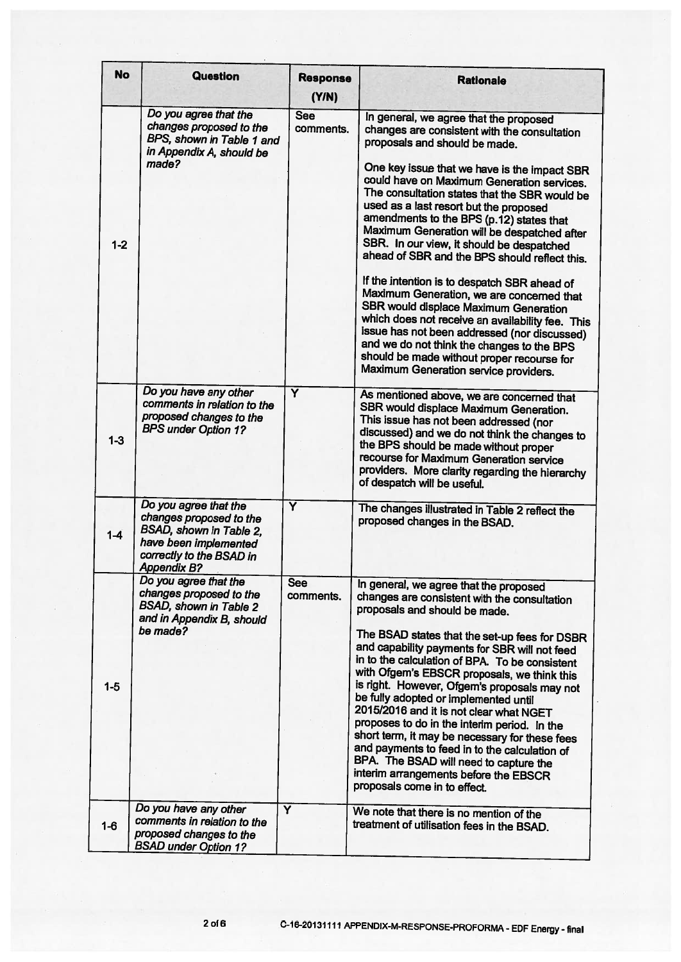| <b>No</b> | <b>Question</b>                                                                                                                                        | <b>Response</b><br>(Y/N) | <b>Rationale</b>                                                                                                                                                                                                                                                                                                                                                                                                                                                                                                                                                                                                                                                                                                                                                                                                                                                                         |
|-----------|--------------------------------------------------------------------------------------------------------------------------------------------------------|--------------------------|------------------------------------------------------------------------------------------------------------------------------------------------------------------------------------------------------------------------------------------------------------------------------------------------------------------------------------------------------------------------------------------------------------------------------------------------------------------------------------------------------------------------------------------------------------------------------------------------------------------------------------------------------------------------------------------------------------------------------------------------------------------------------------------------------------------------------------------------------------------------------------------|
| $1 - 2$   | Do you agree that the<br>changes proposed to the<br>BPS, shown in Table 1 and<br>in Appendix A, should be<br>made?                                     | <b>See</b><br>comments.  | In general, we agree that the proposed<br>changes are consistent with the consultation<br>proposals and should be made.<br>One key issue that we have is the impact SBR<br>could have on Maximum Generation services.<br>The consultation states that the SBR would be<br>used as a last resort but the proposed<br>amendments to the BPS (p.12) states that<br>Maximum Generation will be despatched after<br>SBR. In our view, it should be despatched<br>ahead of SBR and the BPS should reflect this.<br>If the intention is to despatch SBR ahead of<br>Maximum Generation, we are concerned that<br>SBR would displace Maximum Generation<br>which does not receive an availability fee. This<br>issue has not been addressed (nor discussed)<br>and we do not think the changes to the BPS<br>should be made without proper recourse for<br>Maximum Generation service providers. |
| $1-3$     | Do you have any other<br>comments in relation to the<br>proposed changes to the<br><b>BPS under Option 1?</b>                                          | Y                        | As mentioned above, we are concerned that<br>SBR would displace Maximum Generation.<br>This issue has not been addressed (nor<br>discussed) and we do not think the changes to<br>the BPS should be made without proper<br>recourse for Maximum Generation service<br>providers. More clarity regarding the hierarchy<br>of despatch will be useful.                                                                                                                                                                                                                                                                                                                                                                                                                                                                                                                                     |
| $1-4$     | Do you agree that the<br>changes proposed to the<br>BSAD, shown in Table 2,<br>have been implemented<br>correctly to the BSAD in<br><b>Appendix B?</b> | Ÿ                        | The changes illustrated in Table 2 reflect the<br>proposed changes in the BSAD.                                                                                                                                                                                                                                                                                                                                                                                                                                                                                                                                                                                                                                                                                                                                                                                                          |
| $1-5$     | Do you agree that the<br>changes proposed to the<br><b>BSAD, shown in Table 2</b><br>and in Appendix B, should<br>be made?                             | <b>See</b><br>comments.  | In general, we agree that the proposed<br>changes are consistent with the consultation<br>proposals and should be made.<br>The BSAD states that the set-up fees for DSBR<br>and capability payments for SBR will not feed<br>in to the calculation of BPA. To be consistent<br>with Ofgem's EBSCR proposals, we think this<br>is right. However, Ofgem's proposals may not<br>be fully adopted or implemented until<br>2015/2016 and it is not clear what NGET<br>proposes to do in the interim period. In the<br>short term, it may be necessary for these fees<br>and payments to feed in to the calculation of<br>BPA. The BSAD will need to capture the<br>interim arrangements before the EBSCR<br>proposals come in to effect.                                                                                                                                                     |
| $1 - 6$   | Do you have any other<br>comments in relation to the<br>proposed changes to the<br><b>BSAD under Option 1?</b>                                         | Ÿ                        | We note that there is no mention of the<br>treatment of utilisation fees in the BSAD.                                                                                                                                                                                                                                                                                                                                                                                                                                                                                                                                                                                                                                                                                                                                                                                                    |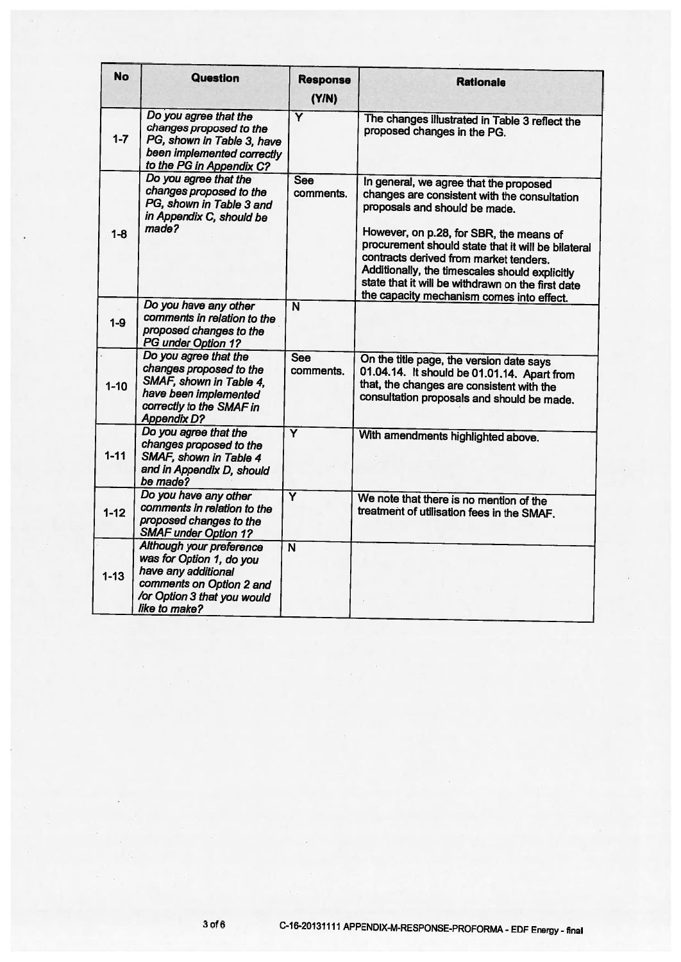| <b>No</b> | <b>Question</b>                                                                                                                                         | <b>Response</b><br>(YN) | <b>Rationale</b>                                                                                                                                                                                                                                                                                                                                                                                                       |
|-----------|---------------------------------------------------------------------------------------------------------------------------------------------------------|-------------------------|------------------------------------------------------------------------------------------------------------------------------------------------------------------------------------------------------------------------------------------------------------------------------------------------------------------------------------------------------------------------------------------------------------------------|
| $1 - 7$   | Do you agree that the<br>changes proposed to the<br>PG, shown in Table 3, have<br>been implemented correctly<br>to the PG in Appendix C?                | $\overline{\mathsf{Y}}$ | The changes illustrated in Table 3 reflect the<br>proposed changes in the PG.                                                                                                                                                                                                                                                                                                                                          |
| $1 - 8$   | Do you agree that the<br>changes proposed to the<br>PG, shown in Table 3 and<br>in Appendix C, should be<br>made?                                       | <b>See</b><br>comments. | In general, we agree that the proposed<br>changes are consistent with the consultation<br>proposals and should be made.<br>However, on p.28, for SBR, the means of<br>procurement should state that it will be bilateral<br>contracts derived from market tenders.<br>Additionally, the timescales should explicitly<br>state that it will be withdrawn on the first date<br>the capacity mechanism comes into effect. |
| $1 - 9$   | Do you have any other<br>comments in relation to the<br>proposed changes to the<br>PG under Option 1?                                                   | $\overline{\mathbf{N}}$ |                                                                                                                                                                                                                                                                                                                                                                                                                        |
| $1 - 10$  | Do you agree that the<br>changes proposed to the<br>SMAF, shown in Table 4,<br>have been implemented<br>correctly to the SMAF in<br><b>Appendix D?</b>  | <b>See</b><br>comments. | On the title page, the version date says<br>01.04.14. It should be 01.01.14. Apart from<br>that, the changes are consistent with the<br>consultation proposals and should be made.                                                                                                                                                                                                                                     |
| $1 - 11$  | Do you agree that the<br>changes proposed to the<br>SMAF, shown in Table 4<br>and in Appendix D, should<br>be made?                                     | $\overline{\mathsf{Y}}$ | With amendments highlighted above.                                                                                                                                                                                                                                                                                                                                                                                     |
| $1 - 12$  | Do you have any other<br>comments in relation to the<br>proposed changes to the<br><b>SMAF under Option 1?</b>                                          | $\overline{\mathsf{Y}}$ | We note that there is no mention of the<br>treatment of utilisation fees in the SMAF.                                                                                                                                                                                                                                                                                                                                  |
| $1 - 13$  | Although your preference<br>was for Option 1, do you<br>have any additional<br>comments on Option 2 and<br>/or Option 3 that you would<br>like to make? | $\overline{\mathsf{N}}$ |                                                                                                                                                                                                                                                                                                                                                                                                                        |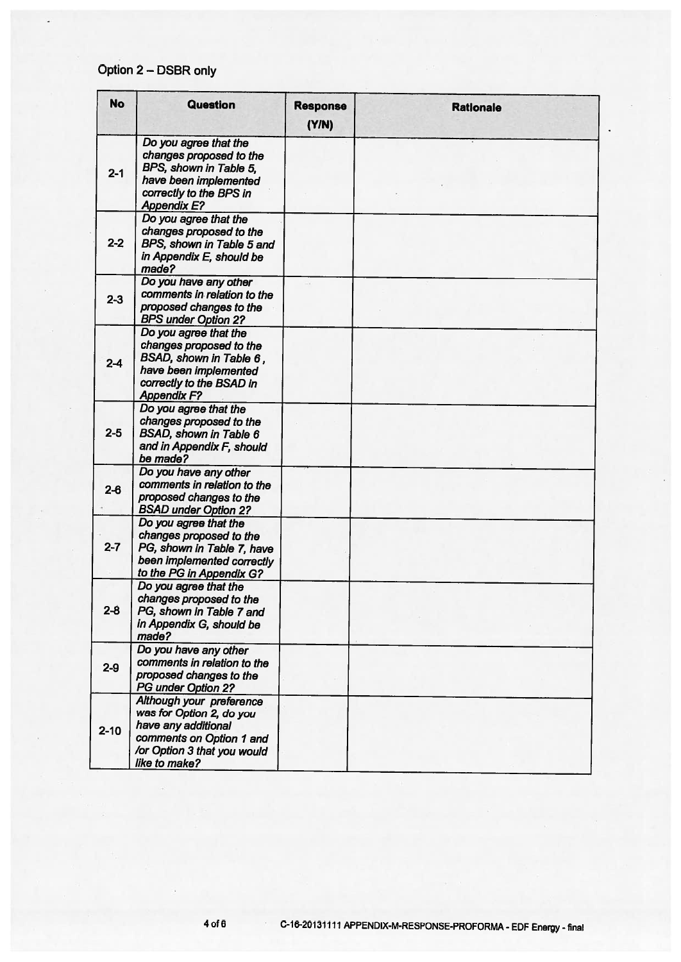# Option 2 - DSBR only

ä,

| <b>No</b> | <b>Question</b>                                                                                                                                         | <b>Response</b><br>(Y/N) | <b>Rationale</b> |
|-----------|---------------------------------------------------------------------------------------------------------------------------------------------------------|--------------------------|------------------|
| $2 - 1$   | Do you agree that the<br>changes proposed to the<br>BPS, shown in Table 5,<br>have been implemented<br>correctly to the BPS in<br><b>Appendix E?</b>    |                          |                  |
| $2 - 2$   | Do you agree that the<br>changes proposed to the<br>BPS, shown in Table 5 and<br>in Appendix E, should be<br>made?                                      |                          |                  |
| $2 - 3$   | Do you have any other<br>comments in relation to the<br>proposed changes to the<br><b>BPS under Option 2?</b>                                           |                          |                  |
| $2 - 4$   | Do you agree that the<br>changes proposed to the<br>BSAD, shown in Table 6,<br>have been implemented<br>correctly to the BSAD in<br><b>Appendix F?</b>  |                          |                  |
| $2 - 5$   | Do you agree that the<br>changes proposed to the<br><b>BSAD, shown in Table 6</b><br>and in Appendix F, should<br>be made?                              |                          |                  |
| $2 - 6$   | Do you have any other<br>comments in relation to the<br>proposed changes to the<br><b>BSAD under Option 2?</b>                                          |                          |                  |
| $2 - 7$   | Do you agree that the<br>changes proposed to the<br>PG, shown in Table 7, have<br>been implemented correctly<br>to the PG in Appendix G?                |                          |                  |
| $2 - 8$   | Do you agree that the<br>changes proposed to the<br>PG, shown in Table 7 and<br>in Appendix G, should be<br>made?                                       |                          |                  |
| $2-9$     | Do you have any other<br>comments in relation to the<br>proposed changes to the<br><b>PG under Option 2?</b>                                            |                          |                  |
| $2 - 10$  | Although your preference<br>was for Option 2, do you<br>have any additional<br>comments on Option 1 and<br>/or Option 3 that you would<br>like to make? |                          |                  |

 $4$  of  $6$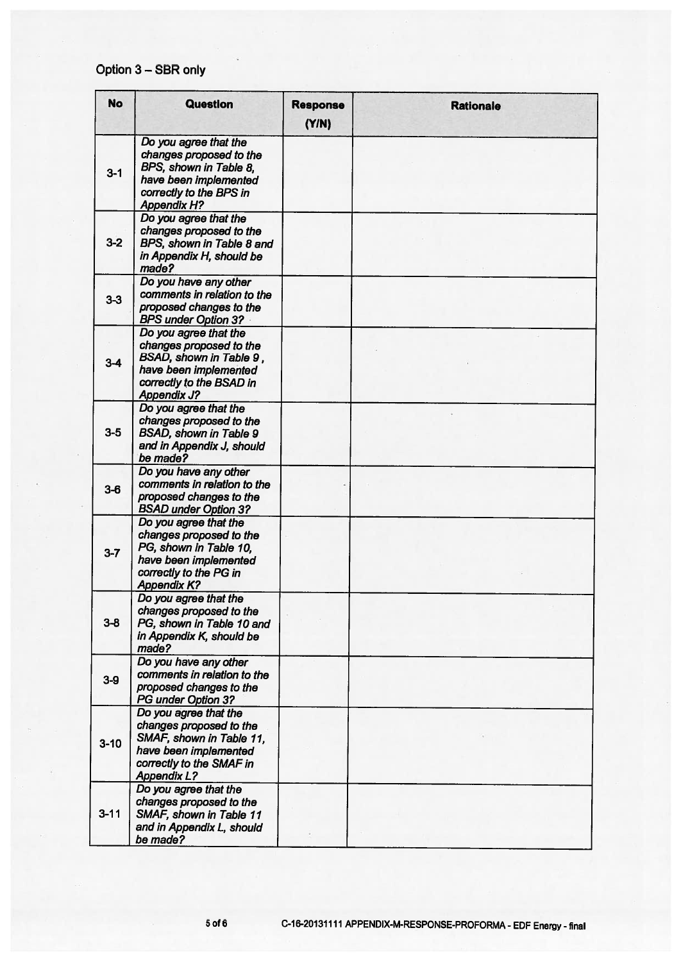# Option 3 - SBR only

| <b>No</b> | Question                                                                                                                                                | <b>Response</b><br>(Y/N) | <b>Rationale</b> |
|-----------|---------------------------------------------------------------------------------------------------------------------------------------------------------|--------------------------|------------------|
| $3 - 1$   | Do you agree that the<br>changes proposed to the<br>BPS, shown in Table 8,<br>have been implemented<br>correctly to the BPS in<br><b>Appendix H?</b>    |                          |                  |
| $3-2$     | Do you agree that the<br>changes proposed to the<br>BPS, shown in Table 8 and<br>in Appendix H, should be<br>made?                                      |                          |                  |
| $3-3$     | Do you have any other<br>comments in relation to the<br>proposed changes to the<br><b>BPS under Option 3?</b>                                           |                          |                  |
| $3-4$     | Do you agree that the<br>changes proposed to the<br>BSAD, shown in Table 9,<br>have been implemented<br>correctly to the BSAD in<br><b>Appendix J?</b>  |                          |                  |
| $3-5$     | Do you agree that the<br>changes proposed to the<br><b>BSAD, shown in Table 9</b><br>and in Appendix J, should<br>be made?                              |                          |                  |
| $3-6$     | Do you have any other<br>comments in relation to the<br>proposed changes to the<br><b>BSAD under Option 3?</b>                                          |                          |                  |
| $3 - 7$   | Do you agree that the<br>changes proposed to the<br>PG, shown in Table 10,<br>have been implemented<br>correctly to the PG in<br><b>Appendix K?</b>     |                          |                  |
| $3 - 8$   | Do you agree that the<br>changes proposed to the<br>PG, shown in Table 10 and<br>in Appendix K, should be<br>made?                                      |                          |                  |
| $3-9$     | Do you have any other<br>comments in relation to the<br>proposed changes to the<br>PG under Option 3?                                                   |                          |                  |
| $3 - 10$  | Do you agree that the<br>changes proposed to the<br>SMAF, shown in Table 11,<br>have been implemented<br>correctly to the SMAF in<br><b>Appendix L?</b> |                          |                  |
| $3 - 11$  | Do you agree that the<br>changes proposed to the<br>SMAF, shown in Table 11<br>and in Appendix L, should<br>be made?                                    |                          |                  |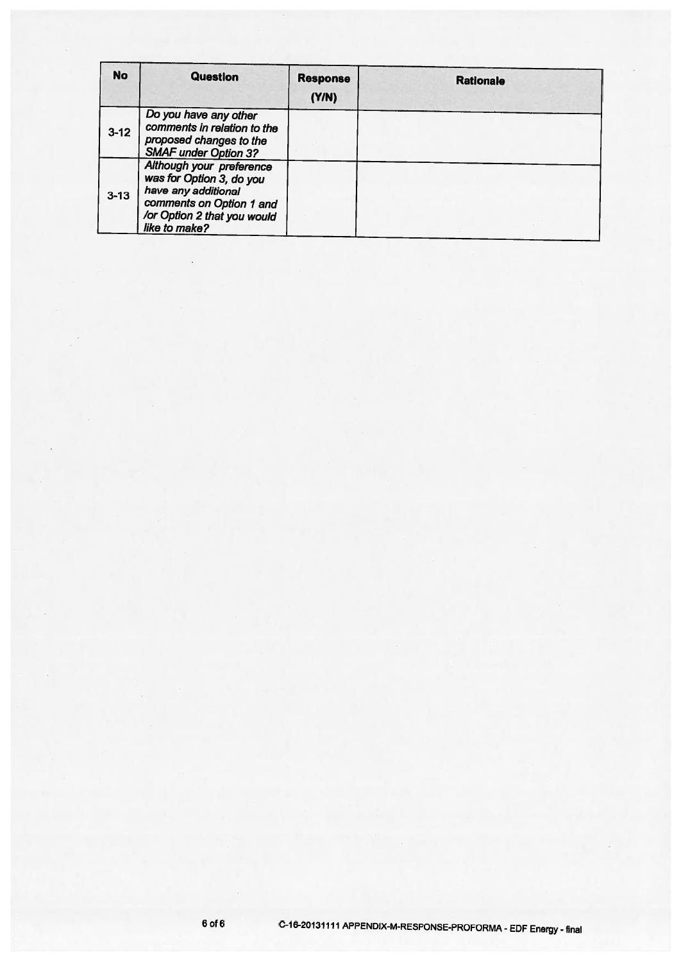| <b>No</b> | Question                                                                                                                                                | <b>Response</b><br>(Y/N) | <b>Rationale</b> |
|-----------|---------------------------------------------------------------------------------------------------------------------------------------------------------|--------------------------|------------------|
| $3 - 12$  | Do you have any other<br>comments in relation to the<br>proposed changes to the<br><b>SMAF under Option 3?</b>                                          |                          |                  |
| $3 - 13$  | Although your preference<br>was for Option 3, do you<br>have any additional<br>comments on Option 1 and<br>/or Option 2 that you would<br>like to make? |                          |                  |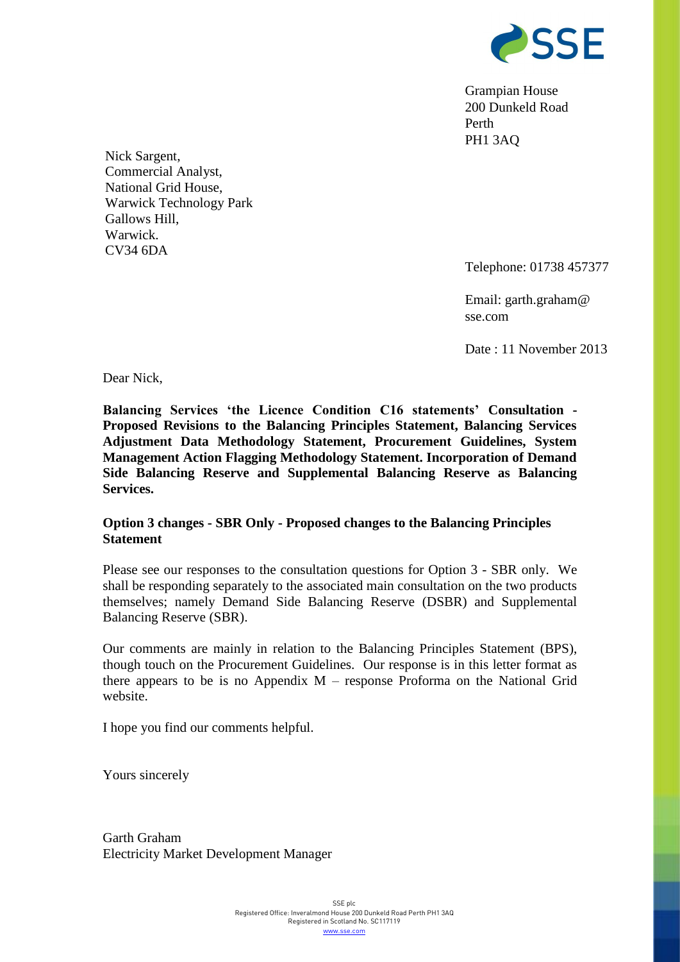

Grampian House 200 Dunkeld Road Perth PH1 3AQ

Nick Sargent, Commercial Analyst, National Grid House, Warwick Technology Park Gallows Hill, Warwick. CV34 6DA

Telephone: 01738 457377

Email: garth.graham@ sse.com

Date : 11 November 2013

Dear Nick,

**Balancing Services 'the Licence Condition C16 statements' Consultation - Proposed Revisions to the Balancing Principles Statement, Balancing Services Adjustment Data Methodology Statement, Procurement Guidelines, System Management Action Flagging Methodology Statement. Incorporation of Demand Side Balancing Reserve and Supplemental Balancing Reserve as Balancing Services.**

## **Option 3 changes - SBR Only - Proposed changes to the Balancing Principles Statement**

Please see our responses to the consultation questions for Option 3 - SBR only. We shall be responding separately to the associated main consultation on the two products themselves; namely Demand Side Balancing Reserve (DSBR) and Supplemental Balancing Reserve (SBR).

Our comments are mainly in relation to the Balancing Principles Statement (BPS), though touch on the Procurement Guidelines. Our response is in this letter format as there appears to be is no Appendix  $M$  – response Proforma on the National Grid website.

I hope you find our comments helpful.

Yours sincerely

Garth Graham Electricity Market Development Manager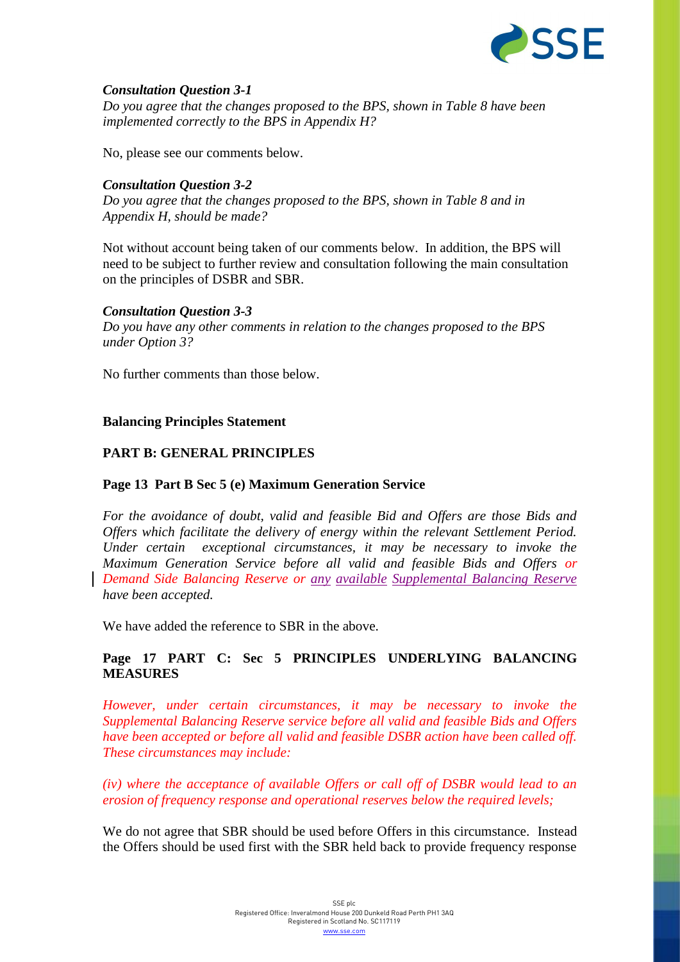

## *Consultation Question 3-1*

*Do you agree that the changes proposed to the BPS, shown in Table 8 have been implemented correctly to the BPS in Appendix H?*

No, please see our comments below.

## *Consultation Question 3-2*

*Do you agree that the changes proposed to the BPS, shown in Table 8 and in Appendix H, should be made?*

Not without account being taken of our comments below. In addition, the BPS will need to be subject to further review and consultation following the main consultation on the principles of DSBR and SBR.

### *Consultation Question 3-3*

*Do you have any other comments in relation to the changes proposed to the BPS under Option 3?*

No further comments than those below.

### **Balancing Principles Statement**

### **PART B: GENERAL PRINCIPLES**

### **Page 13 Part B Sec 5 (e) Maximum Generation Service**

*For the avoidance of doubt, valid and feasible Bid and Offers are those Bids and Offers which facilitate the delivery of energy within the relevant Settlement Period. Under certain exceptional circumstances, it may be necessary to invoke the Maximum Generation Service before all valid and feasible Bids and Offers or Demand Side Balancing Reserve or any available Supplemental Balancing Reserve have been accepted.* 

We have added the reference to SBR in the above.

# **Page 17 PART C: Sec 5 PRINCIPLES UNDERLYING BALANCING MEASURES**

*However, under certain circumstances, it may be necessary to invoke the Supplemental Balancing Reserve service before all valid and feasible Bids and Offers have been accepted or before all valid and feasible DSBR action have been called off. These circumstances may include:*

*(iv) where the acceptance of available Offers or call off of DSBR would lead to an erosion of frequency response and operational reserves below the required levels;*

We do not agree that SBR should be used before Offers in this circumstance. Instead the Offers should be used first with the SBR held back to provide frequency response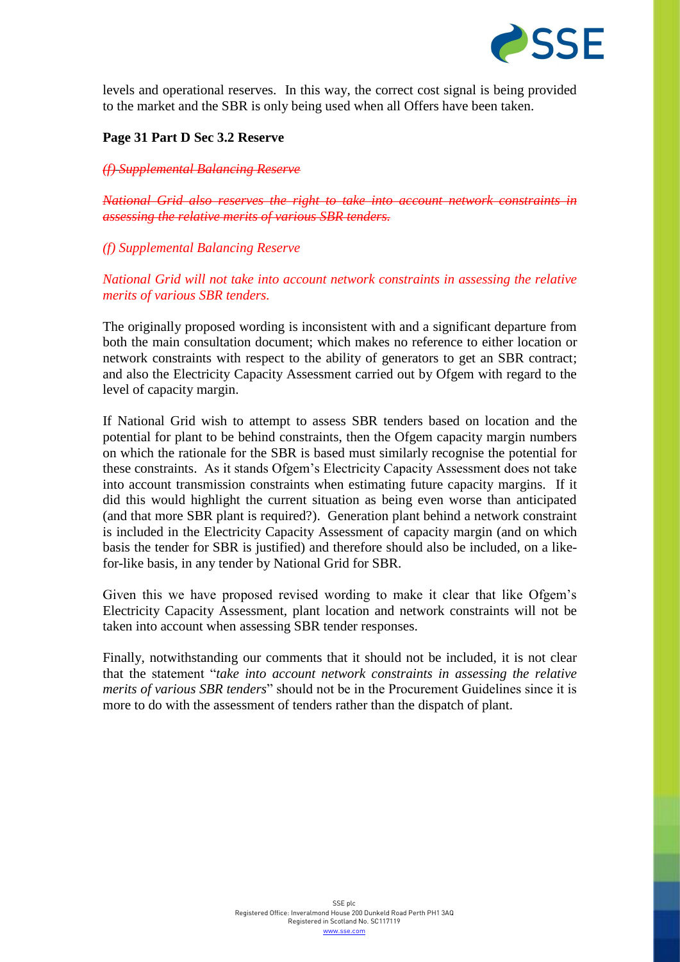

levels and operational reserves. In this way, the correct cost signal is being provided to the market and the SBR is only being used when all Offers have been taken.

#### **Page 31 Part D Sec 3.2 Reserve**

#### *(f) Supplemental Balancing Reserve*

*National Grid also reserves the right to take into account network constraints in assessing the relative merits of various SBR tenders.*

#### *(f) Supplemental Balancing Reserve*

*National Grid will not take into account network constraints in assessing the relative merits of various SBR tenders.*

The originally proposed wording is inconsistent with and a significant departure from both the main consultation document; which makes no reference to either location or network constraints with respect to the ability of generators to get an SBR contract; and also the Electricity Capacity Assessment carried out by Ofgem with regard to the level of capacity margin.

If National Grid wish to attempt to assess SBR tenders based on location and the potential for plant to be behind constraints, then the Ofgem capacity margin numbers on which the rationale for the SBR is based must similarly recognise the potential for these constraints. As it stands Ofgem's Electricity Capacity Assessment does not take into account transmission constraints when estimating future capacity margins. If it did this would highlight the current situation as being even worse than anticipated (and that more SBR plant is required?). Generation plant behind a network constraint is included in the Electricity Capacity Assessment of capacity margin (and on which basis the tender for SBR is justified) and therefore should also be included, on a likefor-like basis, in any tender by National Grid for SBR.

Given this we have proposed revised wording to make it clear that like Ofgem's Electricity Capacity Assessment, plant location and network constraints will not be taken into account when assessing SBR tender responses.

Finally, notwithstanding our comments that it should not be included, it is not clear that the statement "*take into account network constraints in assessing the relative merits of various SBR tenders*" should not be in the Procurement Guidelines since it is more to do with the assessment of tenders rather than the dispatch of plant.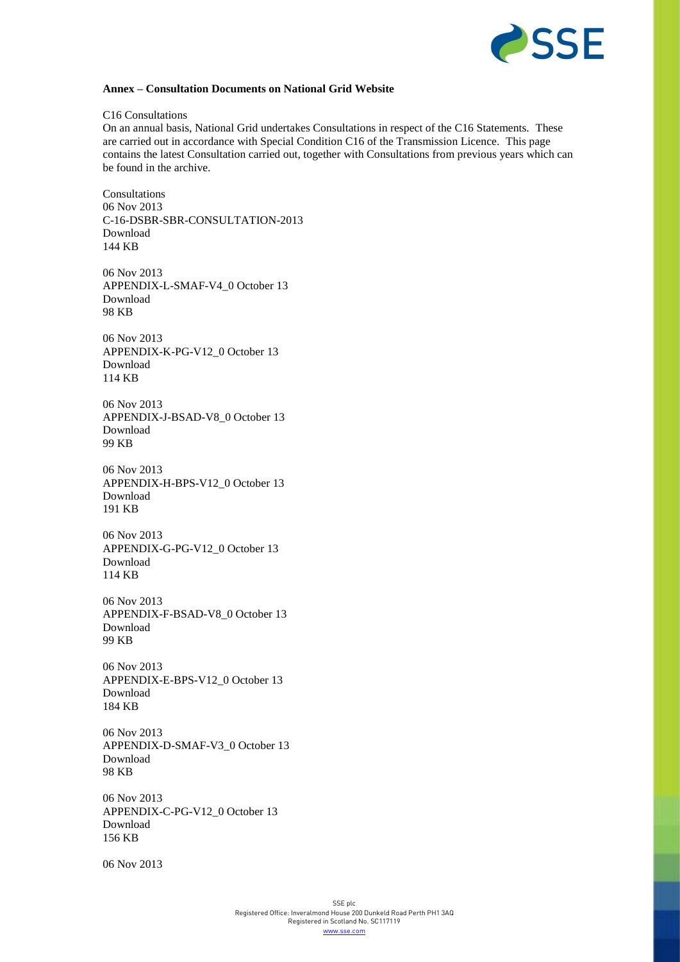

#### **Annex – Consultation Documents on National Grid Website**

#### C16 Consultations

On an annual basis, National Grid undertakes Consultations in respect of the C16 Statements. These are carried out in accordance with Special Condition C16 of the Transmission Licence. This page contains the latest Consultation carried out, together with Consultations from previous years which can be found in the archive.

Consultations 06 Nov 2013 C-16-DSBR-SBR-CONSULTATION-2013 [Download](http://www2.nationalgrid.com/WorkArea/DownloadAsset.aspx?id=25169) 144 KB

06 Nov 2013 APPENDIX-L-SMAF-V4\_0 October 13 [Download](http://www2.nationalgrid.com/WorkArea/DownloadAsset.aspx?id=25156) 98 KB

06 Nov 2013 APPENDIX-K-PG-V12\_0 October 13 [Download](http://www2.nationalgrid.com/WorkArea/DownloadAsset.aspx?id=25155) 114 KB

06 Nov 2013 APPENDIX-J-BSAD-V8\_0 October 13 [Download](http://www2.nationalgrid.com/WorkArea/DownloadAsset.aspx?id=25154) 99 KB

06 Nov 2013 APPENDIX-H-BPS-V12\_0 October 13 [Download](http://www2.nationalgrid.com/WorkArea/DownloadAsset.aspx?id=25153) 191 KB

06 Nov 2013 APPENDIX-G-PG-V12\_0 October 13 [Download](http://www2.nationalgrid.com/WorkArea/DownloadAsset.aspx?id=25152) 114 KB

06 Nov 2013 APPENDIX-F-BSAD-V8\_0 October 13 [Download](http://www2.nationalgrid.com/WorkArea/DownloadAsset.aspx?id=25151) 99 KB

06 Nov 2013 APPENDIX-E-BPS-V12\_0 October 13 [Download](http://www2.nationalgrid.com/WorkArea/DownloadAsset.aspx?id=25150) 184 KB

06 Nov 2013 APPENDIX-D-SMAF-V3\_0 October 13 [Download](http://www2.nationalgrid.com/WorkArea/DownloadAsset.aspx?id=25149) 98 KB

06 Nov 2013 APPENDIX-C-PG-V12\_0 October 13 [Download](http://www2.nationalgrid.com/WorkArea/DownloadAsset.aspx?id=25148) 156 KB

06 Nov 2013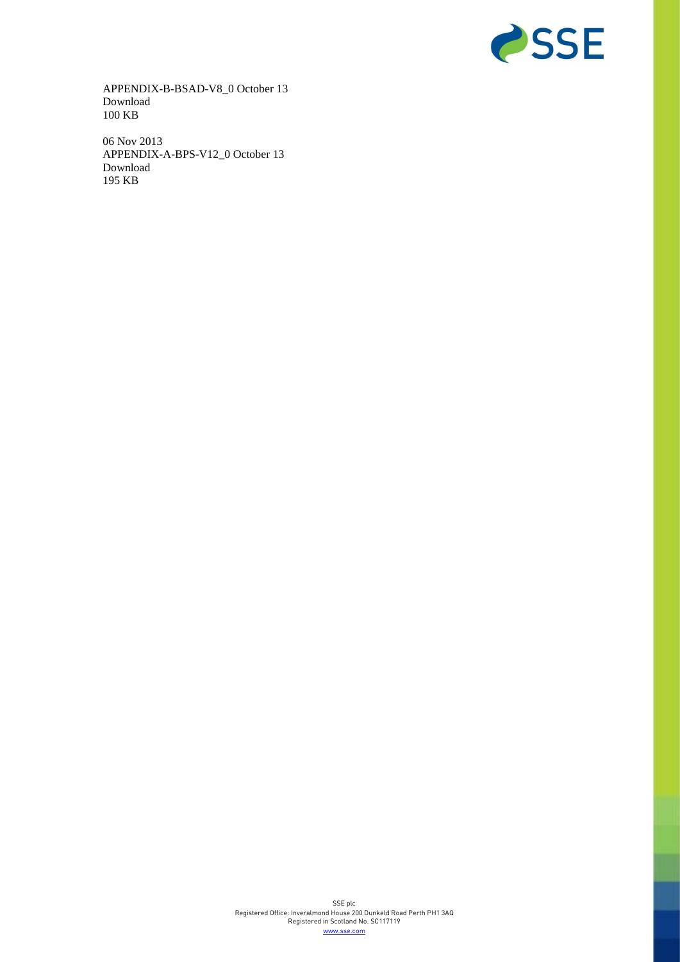

APPENDIX-B-BSAD-V8\_0 October 13 [Download](http://www2.nationalgrid.com/WorkArea/DownloadAsset.aspx?id=25147) 100 KB

06 Nov 2013 APPENDIX-A-BPS-V12\_0 October 13 [Download](http://www2.nationalgrid.com/WorkArea/DownloadAsset.aspx?id=25107) 195 KB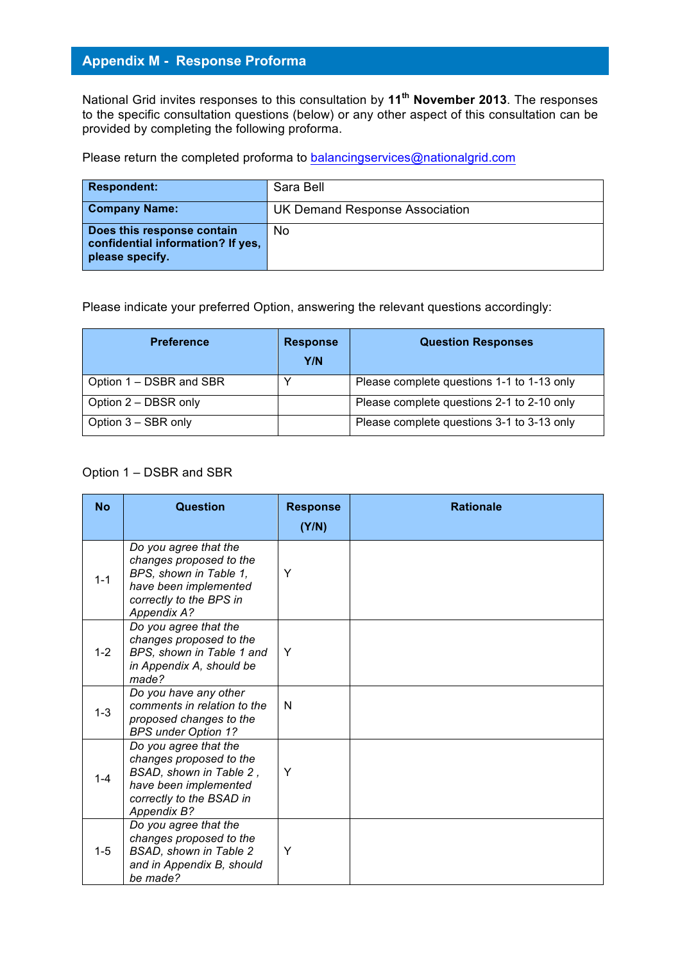# **Appendix M - Response Proforma**

National Grid invites responses to this consultation by **11th November 2013**. The responses to the specific consultation questions (below) or any other aspect of this consultation can be provided by completing the following proforma.

Please return the completed proforma to balancingservices@nationalgrid.com

| <b>Respondent:</b>                                                                 | Sara Bell                      |
|------------------------------------------------------------------------------------|--------------------------------|
| <b>Company Name:</b>                                                               | UK Demand Response Association |
| Does this response contain<br>confidential information? If yes,<br>please specify. | No.                            |

Please indicate your preferred Option, answering the relevant questions accordingly:

| <b>Preference</b>       | <b>Response</b><br>Y/N | <b>Question Responses</b>                  |
|-------------------------|------------------------|--------------------------------------------|
| Option 1 – DSBR and SBR |                        | Please complete questions 1-1 to 1-13 only |
| Option 2 – DBSR only    |                        | Please complete questions 2-1 to 2-10 only |
| Option 3 - SBR only     |                        | Please complete questions 3-1 to 3-13 only |

#### Option 1 – DSBR and SBR

| <b>No</b> | <b>Question</b>                                                                                                                                      | <b>Response</b> | <b>Rationale</b> |
|-----------|------------------------------------------------------------------------------------------------------------------------------------------------------|-----------------|------------------|
|           |                                                                                                                                                      | (Y/N)           |                  |
| $1 - 1$   | Do you agree that the<br>changes proposed to the<br>BPS, shown in Table 1,<br>have been implemented<br>correctly to the BPS in<br><b>Appendix A?</b> | Υ               |                  |
| $1 - 2$   | Do you agree that the<br>changes proposed to the<br>BPS, shown in Table 1 and<br>in Appendix A, should be<br>made?                                   | Y               |                  |
| $1-3$     | Do you have any other<br>comments in relation to the<br>proposed changes to the<br><b>BPS under Option 1?</b>                                        | N               |                  |
| $1 - 4$   | Do you agree that the<br>changes proposed to the<br>BSAD, shown in Table 2,<br>have been implemented<br>correctly to the BSAD in<br>Appendix B?      | Y               |                  |
| $1 - 5$   | Do you agree that the<br>changes proposed to the<br><b>BSAD, shown in Table 2</b><br>and in Appendix B, should<br>be made?                           | Y               |                  |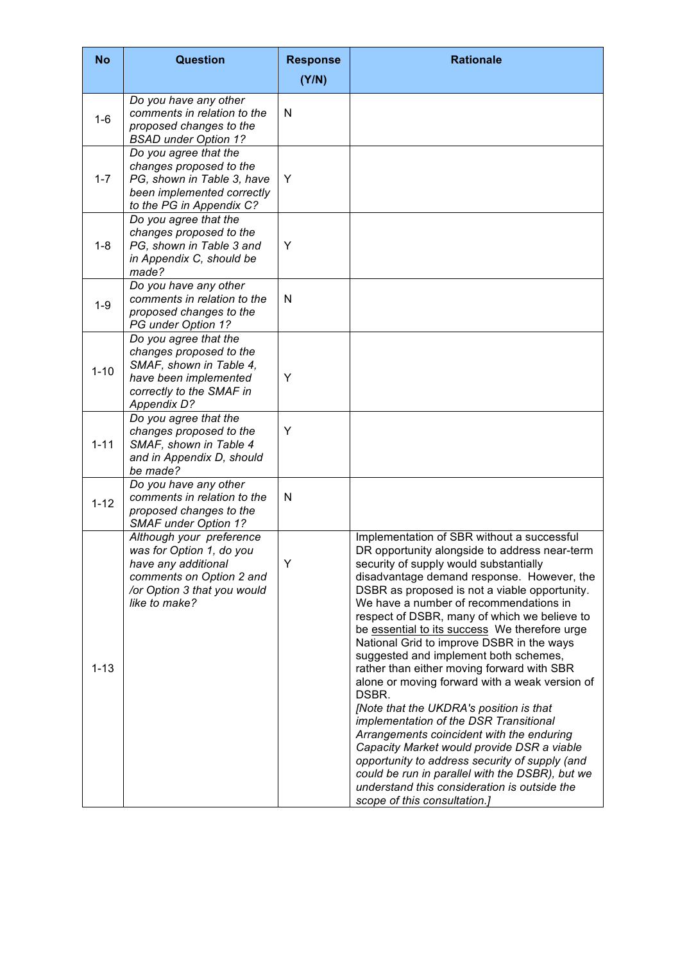| <b>No</b> | <b>Question</b>                                                                                                                                         | <b>Response</b><br>(Y/N) | <b>Rationale</b>                                                                                                                                                                                                                                                                                                                                                                                                                                                                                                                                                                                                                                                                                                                                                                                                                                                                                                                                    |
|-----------|---------------------------------------------------------------------------------------------------------------------------------------------------------|--------------------------|-----------------------------------------------------------------------------------------------------------------------------------------------------------------------------------------------------------------------------------------------------------------------------------------------------------------------------------------------------------------------------------------------------------------------------------------------------------------------------------------------------------------------------------------------------------------------------------------------------------------------------------------------------------------------------------------------------------------------------------------------------------------------------------------------------------------------------------------------------------------------------------------------------------------------------------------------------|
| $1 - 6$   | Do you have any other<br>comments in relation to the<br>proposed changes to the<br><b>BSAD under Option 1?</b>                                          | N                        |                                                                                                                                                                                                                                                                                                                                                                                                                                                                                                                                                                                                                                                                                                                                                                                                                                                                                                                                                     |
| $1 - 7$   | Do you agree that the<br>changes proposed to the<br>PG, shown in Table 3, have<br>been implemented correctly<br>to the PG in Appendix C?                | Y                        |                                                                                                                                                                                                                                                                                                                                                                                                                                                                                                                                                                                                                                                                                                                                                                                                                                                                                                                                                     |
| $1 - 8$   | Do you agree that the<br>changes proposed to the<br>PG, shown in Table 3 and<br>in Appendix C, should be<br>made?                                       | Y                        |                                                                                                                                                                                                                                                                                                                                                                                                                                                                                                                                                                                                                                                                                                                                                                                                                                                                                                                                                     |
| $1-9$     | Do you have any other<br>comments in relation to the<br>proposed changes to the<br>PG under Option 1?                                                   | N                        |                                                                                                                                                                                                                                                                                                                                                                                                                                                                                                                                                                                                                                                                                                                                                                                                                                                                                                                                                     |
| $1 - 10$  | Do you agree that the<br>changes proposed to the<br>SMAF, shown in Table 4,<br>have been implemented<br>correctly to the SMAF in<br><b>Appendix D?</b>  | Υ                        |                                                                                                                                                                                                                                                                                                                                                                                                                                                                                                                                                                                                                                                                                                                                                                                                                                                                                                                                                     |
| $1 - 11$  | Do you agree that the<br>changes proposed to the<br>SMAF, shown in Table 4<br>and in Appendix D, should<br>be made?                                     | Y                        |                                                                                                                                                                                                                                                                                                                                                                                                                                                                                                                                                                                                                                                                                                                                                                                                                                                                                                                                                     |
| $1 - 12$  | Do you have any other<br>comments in relation to the<br>proposed changes to the<br><b>SMAF under Option 1?</b>                                          | N                        |                                                                                                                                                                                                                                                                                                                                                                                                                                                                                                                                                                                                                                                                                                                                                                                                                                                                                                                                                     |
| $1 - 13$  | Although your preference<br>was for Option 1, do you<br>have any additional<br>comments on Option 2 and<br>/or Option 3 that you would<br>like to make? | Y                        | Implementation of SBR without a successful<br>DR opportunity alongside to address near-term<br>security of supply would substantially<br>disadvantage demand response. However, the<br>DSBR as proposed is not a viable opportunity.<br>We have a number of recommendations in<br>respect of DSBR, many of which we believe to<br>be essential to its success We therefore urge<br>National Grid to improve DSBR in the ways<br>suggested and implement both schemes,<br>rather than either moving forward with SBR<br>alone or moving forward with a weak version of<br>DSBR.<br>[Note that the UKDRA's position is that<br>implementation of the DSR Transitional<br>Arrangements coincident with the enduring<br>Capacity Market would provide DSR a viable<br>opportunity to address security of supply (and<br>could be run in parallel with the DSBR), but we<br>understand this consideration is outside the<br>scope of this consultation.] |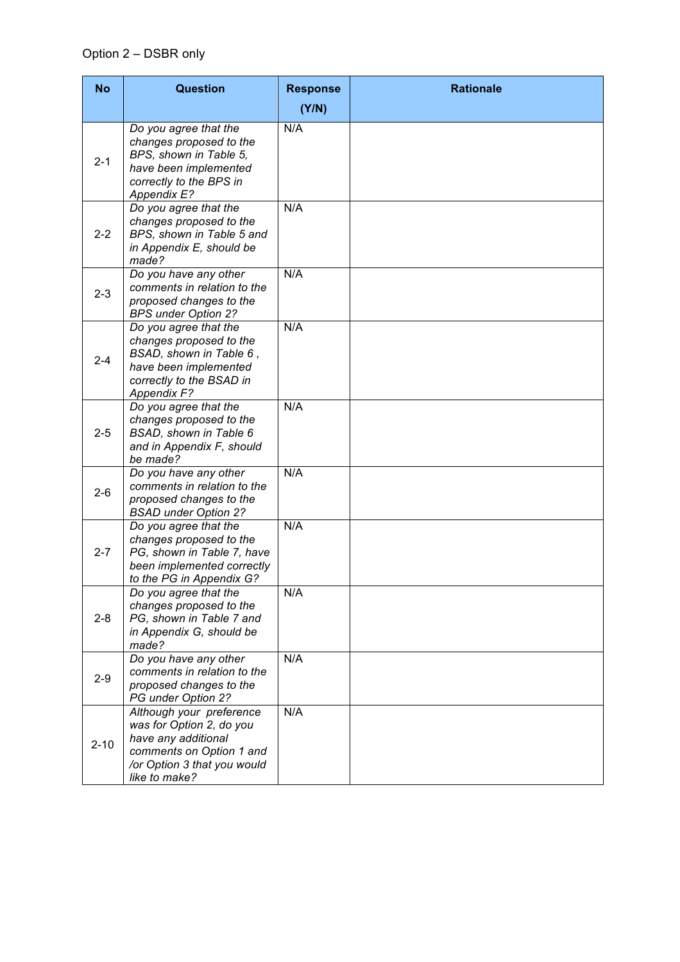| <b>No</b> | <b>Question</b>                                                                                                                                         | <b>Response</b> | <b>Rationale</b> |
|-----------|---------------------------------------------------------------------------------------------------------------------------------------------------------|-----------------|------------------|
|           |                                                                                                                                                         | (Y/N)           |                  |
| $2 - 1$   | Do you agree that the<br>changes proposed to the<br>BPS, shown in Table 5,<br>have been implemented<br>correctly to the BPS in<br>Appendix E?           | N/A             |                  |
| $2 - 2$   | Do you agree that the<br>changes proposed to the<br>BPS, shown in Table 5 and<br>in Appendix E, should be<br>made?                                      | N/A             |                  |
| $2 - 3$   | Do you have any other<br>comments in relation to the<br>proposed changes to the<br><b>BPS under Option 2?</b>                                           | N/A             |                  |
| $2 - 4$   | Do you agree that the<br>changes proposed to the<br>BSAD, shown in Table 6,<br>have been implemented<br>correctly to the BSAD in<br>Appendix F?         | N/A             |                  |
| $2 - 5$   | Do you agree that the<br>changes proposed to the<br>BSAD, shown in Table 6<br>and in Appendix F, should<br>be made?                                     | N/A             |                  |
| $2 - 6$   | Do you have any other<br>comments in relation to the<br>proposed changes to the<br><b>BSAD under Option 2?</b>                                          | N/A             |                  |
| $2 - 7$   | Do you agree that the<br>changes proposed to the<br>PG, shown in Table 7, have<br>been implemented correctly<br>to the PG in Appendix G?                | N/A             |                  |
| $2 - 8$   | Do you agree that the<br>changes proposed to the<br>PG, shown in Table 7 and<br>in Appendix G, should be<br>made?                                       | N/A             |                  |
| $2 - 9$   | Do you have any other<br>comments in relation to the<br>proposed changes to the<br>PG under Option 2?                                                   | N/A             |                  |
| $2 - 10$  | Although your preference<br>was for Option 2, do you<br>have any additional<br>comments on Option 1 and<br>/or Option 3 that you would<br>like to make? | N/A             |                  |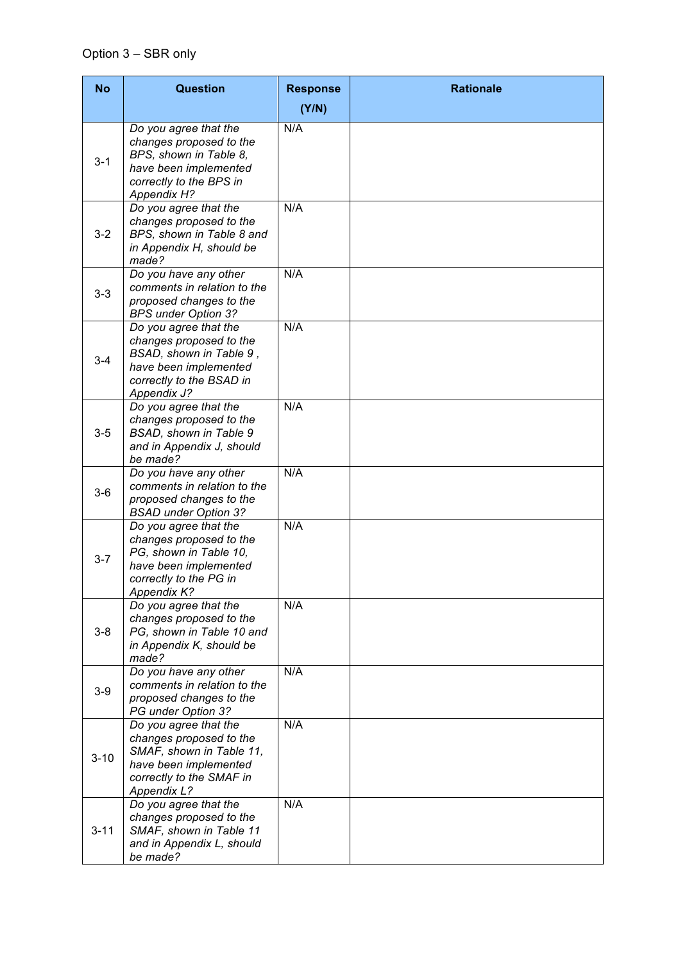| <b>No</b> | <b>Question</b>                                                                                                                                         | <b>Response</b> | <b>Rationale</b> |
|-----------|---------------------------------------------------------------------------------------------------------------------------------------------------------|-----------------|------------------|
|           |                                                                                                                                                         | (Y/N)           |                  |
| $3 - 1$   | Do you agree that the<br>changes proposed to the<br>BPS, shown in Table 8,<br>have been implemented<br>correctly to the BPS in<br><b>Appendix H?</b>    | N/A             |                  |
| $3 - 2$   | Do you agree that the<br>changes proposed to the<br>BPS, shown in Table 8 and<br>in Appendix H, should be<br>made?                                      | N/A             |                  |
| $3 - 3$   | Do you have any other<br>comments in relation to the<br>proposed changes to the<br><b>BPS under Option 3?</b>                                           | N/A             |                  |
| $3 - 4$   | Do you agree that the<br>changes proposed to the<br>BSAD, shown in Table 9,<br>have been implemented<br>correctly to the BSAD in<br>Appendix J?         | N/A             |                  |
| $3-5$     | Do you agree that the<br>changes proposed to the<br>BSAD, shown in Table 9<br>and in Appendix J, should<br>be made?                                     | N/A             |                  |
| $3-6$     | Do you have any other<br>comments in relation to the<br>proposed changes to the<br><b>BSAD under Option 3?</b>                                          | N/A             |                  |
| $3 - 7$   | Do you agree that the<br>changes proposed to the<br>PG, shown in Table 10,<br>have been implemented<br>correctly to the PG in<br>Appendix K?            | N/A             |                  |
| $3-8$     | Do you agree that the<br>changes proposed to the<br>PG, shown in Table 10 and<br>in Appendix K, should be<br>made?                                      | N/A             |                  |
| $3-9$     | Do you have any other<br>comments in relation to the<br>proposed changes to the<br>PG under Option 3?                                                   | N/A             |                  |
| $3 - 10$  | Do you agree that the<br>changes proposed to the<br>SMAF, shown in Table 11,<br>have been implemented<br>correctly to the SMAF in<br><b>Appendix L?</b> | N/A             |                  |
| $3 - 11$  | Do you agree that the<br>changes proposed to the<br>SMAF, shown in Table 11<br>and in Appendix L, should<br>be made?                                    | N/A             |                  |